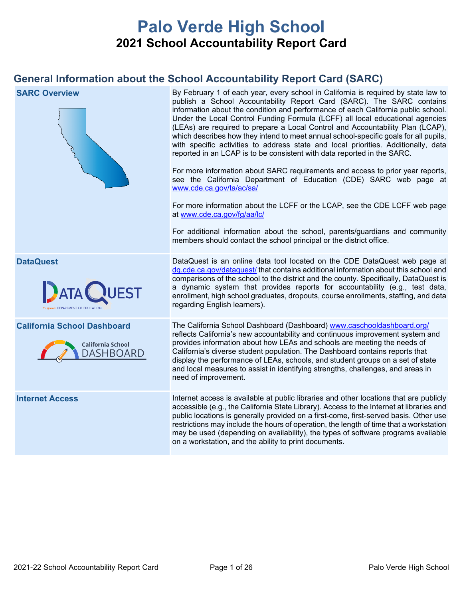# **Palo Verde High School 2021 School Accountability Report Card**

## **General Information about the School Accountability Report Card (SARC)**

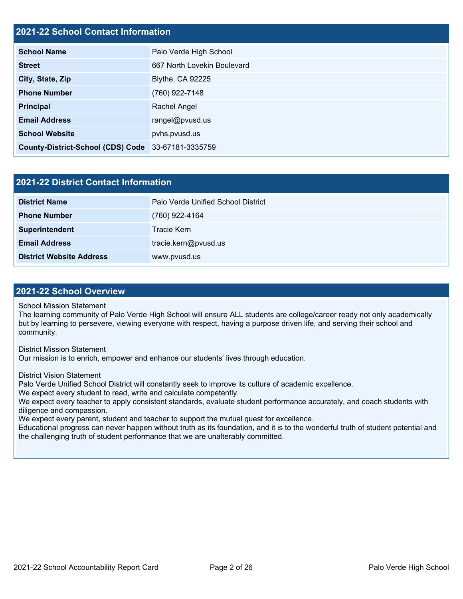### **2021-22 School Contact Information**

| <b>School Name</b>                                 | Palo Verde High School      |  |  |  |
|----------------------------------------------------|-----------------------------|--|--|--|
| <b>Street</b>                                      | 667 North Lovekin Boulevard |  |  |  |
| City, State, Zip                                   | <b>Blythe, CA 92225</b>     |  |  |  |
| <b>Phone Number</b>                                | (760) 922-7148              |  |  |  |
| Principal                                          | Rachel Angel                |  |  |  |
| <b>Email Address</b>                               | rangel@pvusd.us             |  |  |  |
| <b>School Website</b>                              | pvhs.pvusd.us               |  |  |  |
| County-District-School (CDS) Code 33-67181-3335759 |                             |  |  |  |

### **2021-22 District Contact Information**

| <b>District Name</b>            | Palo Verde Unified School District |  |  |  |
|---------------------------------|------------------------------------|--|--|--|
| <b>Phone Number</b>             | (760) 922-4164                     |  |  |  |
| Superintendent                  | Tracie Kern                        |  |  |  |
| <b>Email Address</b>            | tracie.kern@pvusd.us               |  |  |  |
| <b>District Website Address</b> | www.pvusd.us                       |  |  |  |

### **2021-22 School Overview**

School Mission Statement

The learning community of Palo Verde High School will ensure ALL students are college/career ready not only academically but by learning to persevere, viewing everyone with respect, having a purpose driven life, and serving their school and community.

District Mission Statement

Our mission is to enrich, empower and enhance our students' lives through education.

District Vision Statement

Palo Verde Unified School District will constantly seek to improve its culture of academic excellence.

We expect every student to read, write and calculate competently.

We expect every teacher to apply consistent standards, evaluate student performance accurately, and coach students with diligence and compassion.

We expect every parent, student and teacher to support the mutual quest for excellence.

Educational progress can never happen without truth as its foundation, and it is to the wonderful truth of student potential and the challenging truth of student performance that we are unalterably committed.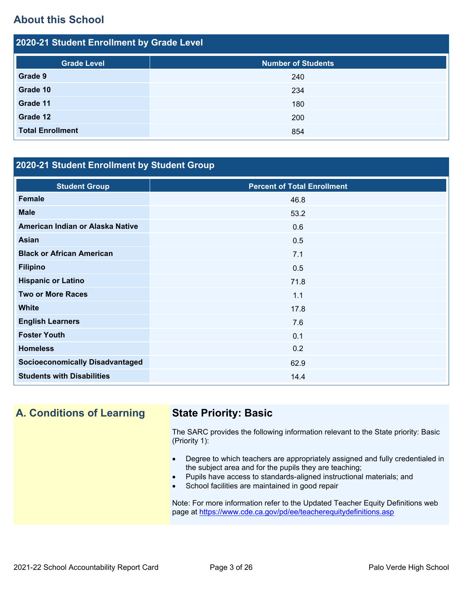## **About this School**

2021-22 Student Enrollment by Grade Level

| 2020-21 Student Enrollment by Grade Level |                           |  |  |  |  |
|-------------------------------------------|---------------------------|--|--|--|--|
| <b>Grade Level</b>                        | <b>Number of Students</b> |  |  |  |  |
| Grade 9                                   | 240                       |  |  |  |  |
| Grade 10                                  | 234                       |  |  |  |  |
| Grade 11                                  | 180                       |  |  |  |  |
| Grade 12                                  | 200                       |  |  |  |  |
| <b>Total Enrollment</b>                   | 854                       |  |  |  |  |

### **2020-21 Student Enrollment by Student Group**

| <b>Student Group</b>                   | <b>Percent of Total Enrollment</b> |
|----------------------------------------|------------------------------------|
| <b>Female</b>                          | 46.8                               |
| <b>Male</b>                            | 53.2                               |
| American Indian or Alaska Native       | 0.6                                |
| <b>Asian</b>                           | 0.5                                |
| <b>Black or African American</b>       | 7.1                                |
| <b>Filipino</b>                        | 0.5                                |
| <b>Hispanic or Latino</b>              | 71.8                               |
| <b>Two or More Races</b>               | 1.1                                |
| <b>White</b>                           | 17.8                               |
| <b>English Learners</b>                | 7.6                                |
| <b>Foster Youth</b>                    | 0.1                                |
| <b>Homeless</b>                        | 0.2                                |
| <b>Socioeconomically Disadvantaged</b> | 62.9                               |
| <b>Students with Disabilities</b>      | 14.4                               |

**A. Conditions of Learning State Priority: Basic**

The SARC provides the following information relevant to the State priority: Basic (Priority 1):

- Degree to which teachers are appropriately assigned and fully credentialed in the subject area and for the pupils they are teaching;
- Pupils have access to standards-aligned instructional materials; and
- School facilities are maintained in good repair

Note: For more information refer to the Updated Teacher Equity Definitions web page at <https://www.cde.ca.gov/pd/ee/teacherequitydefinitions.asp>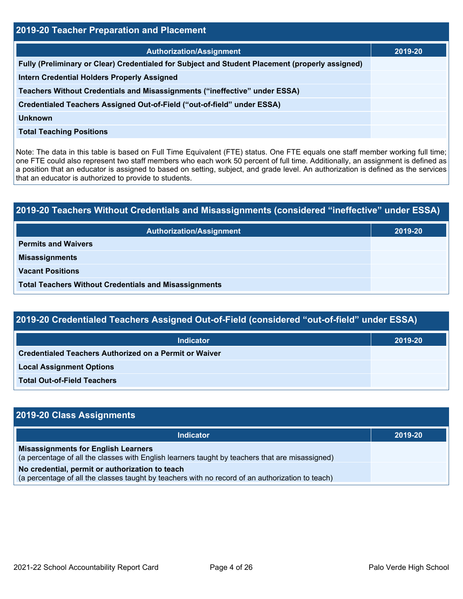| 2019-20 Teacher Preparation and Placement                                                       |         |  |  |
|-------------------------------------------------------------------------------------------------|---------|--|--|
| <b>Authorization/Assignment</b>                                                                 | 2019-20 |  |  |
| Fully (Preliminary or Clear) Credentialed for Subject and Student Placement (properly assigned) |         |  |  |
| <b>Intern Credential Holders Properly Assigned</b>                                              |         |  |  |
| Teachers Without Credentials and Misassignments ("ineffective" under ESSA)                      |         |  |  |
| Credentialed Teachers Assigned Out-of-Field ("out-of-field" under ESSA)                         |         |  |  |
| Unknown                                                                                         |         |  |  |
| <b>Total Teaching Positions</b>                                                                 |         |  |  |

Note: The data in this table is based on Full Time Equivalent (FTE) status. One FTE equals one staff member working full time; one FTE could also represent two staff members who each work 50 percent of full time. Additionally, an assignment is defined as a position that an educator is assigned to based on setting, subject, and grade level. An authorization is defined as the services that an educator is authorized to provide to students.

| 2019-20 Teachers Without Credentials and Misassignments (considered "ineffective" under ESSA) |         |  |  |
|-----------------------------------------------------------------------------------------------|---------|--|--|
| <b>Authorization/Assignment</b>                                                               | 2019-20 |  |  |
| <b>Permits and Waivers</b>                                                                    |         |  |  |
| <b>Misassignments</b>                                                                         |         |  |  |
| <b>Vacant Positions</b>                                                                       |         |  |  |
| <b>Total Teachers Without Credentials and Misassignments</b>                                  |         |  |  |

| <b>Indicator</b>                                              | 2019-20 |
|---------------------------------------------------------------|---------|
| <b>Credentialed Teachers Authorized on a Permit or Waiver</b> |         |
| <b>Local Assignment Options</b>                               |         |
| <b>Total Out-of-Field Teachers</b>                            |         |

| 2019-20 Class Assignments                                                                                                                           |         |
|-----------------------------------------------------------------------------------------------------------------------------------------------------|---------|
| <b>Indicator</b>                                                                                                                                    | 2019-20 |
| <b>Misassignments for English Learners</b><br>(a percentage of all the classes with English learners taught by teachers that are misassigned)       |         |
| No credential, permit or authorization to teach<br>(a percentage of all the classes taught by teachers with no record of an authorization to teach) |         |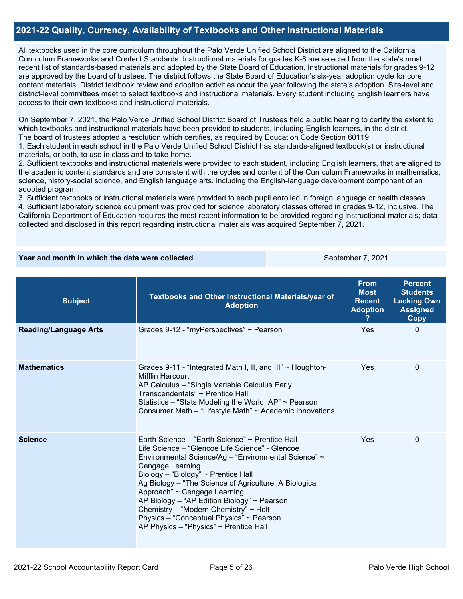### **2021-22 Quality, Currency, Availability of Textbooks and Other Instructional Materials**

All textbooks used in the core curriculum throughout the Palo Verde Unified School District are aligned to the California Curriculum Frameworks and Content Standards. Instructional materials for grades K-8 are selected from the state's most recent list of standards-based materials and adopted by the State Board of Education. Instructional materials for grades 9-12 are approved by the board of trustees. The district follows the State Board of Education's six-year adoption cycle for core content materials. District textbook review and adoption activities occur the year following the state's adoption. Site-level and district-level committees meet to select textbooks and instructional materials. Every student including English learners have access to their own textbooks and instructional materials.

On September 7, 2021, the Palo Verde Unified School District Board of Trustees held a public hearing to certify the extent to which textbooks and instructional materials have been provided to students, including English learners, in the district. The board of trustees adopted a resolution which certifies, as required by Education Code Section 60119:

1. Each student in each school in the Palo Verde Unified School District has standards-aligned textbook(s) or instructional materials, or both, to use in class and to take home.

2. Sufficient textbooks and instructional materials were provided to each student, including English learners, that are aligned to the academic content standards and are consistent with the cycles and content of the Curriculum Frameworks in mathematics, science, history-social science, and English language arts, including the English-language development component of an adopted program.

3. Sufficient textbooks or instructional materials were provided to each pupil enrolled in foreign language or health classes.

4. Sufficient laboratory science equipment was provided for science laboratory classes offered in grades 9-12, inclusive. The California Department of Education requires the most recent information to be provided regarding instructional materials; data collected and disclosed in this report regarding instructional materials was acquired September 7, 2021.

### **Year and month in which the data were collected** September 7, 2021

| <b>Subject</b>               | Textbooks and Other Instructional Materials/year of<br><b>Adoption</b>                                                                                                                                                                                                                                                                                                                                                                                                                                    | <b>From</b><br><b>Most</b><br><b>Recent</b><br><b>Adoption</b> | <b>Percent</b><br><b>Students</b><br><b>Lacking Own</b><br><b>Assigned</b><br>Copy |
|------------------------------|-----------------------------------------------------------------------------------------------------------------------------------------------------------------------------------------------------------------------------------------------------------------------------------------------------------------------------------------------------------------------------------------------------------------------------------------------------------------------------------------------------------|----------------------------------------------------------------|------------------------------------------------------------------------------------|
| <b>Reading/Language Arts</b> | Grades 9-12 - "myPerspectives" ~ Pearson                                                                                                                                                                                                                                                                                                                                                                                                                                                                  | Yes                                                            | 0                                                                                  |
| <b>Mathematics</b>           | Grades 9-11 - "Integrated Math I, II, and III" $\sim$ Houghton-<br><b>Mifflin Harcourt</b><br>AP Calculus - "Single Variable Calculus Early<br>Transcendentals" ~ Prentice Hall<br>Statistics – "Stats Modeling the World, $AP$ " ~ Pearson<br>Consumer Math - "Lifestyle Math" ~ Academic Innovations                                                                                                                                                                                                    | Yes                                                            | $\Omega$                                                                           |
| <b>Science</b>               | Earth Science – "Earth Science" ~ Prentice Hall<br>Life Science – "Glencoe Life Science" - Glencoe<br>Environmental Science/Ag - "Environmental Science" ~<br><b>Cengage Learning</b><br>Biology - "Biology" ~ Prentice Hall<br>Ag Biology – "The Science of Agriculture, A Biological<br>Approach" ~ Cengage Learning<br>AP Biology - "AP Edition Biology" $\sim$ Pearson<br>Chemistry - "Modern Chemistry" ~ Holt<br>Physics - "Conceptual Physics" ~ Pearson<br>AP Physics - "Physics" ~ Prentice Hall | Yes                                                            | $\Omega$                                                                           |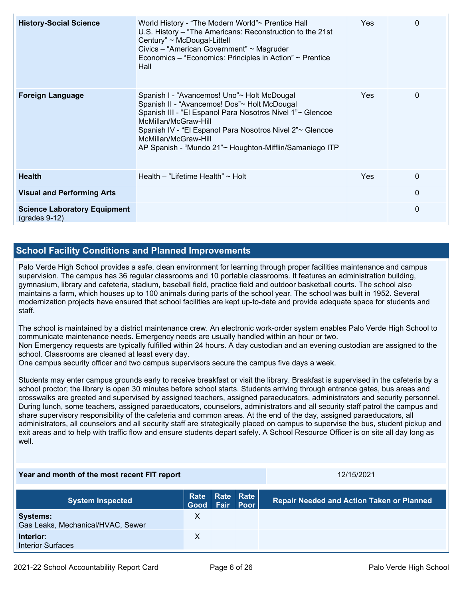| <b>History-Social Science</b>                          | World History - "The Modern World"~ Prentice Hall<br>U.S. History – "The Americans: Reconstruction to the 21st<br>Century" ~ McDougal-Littell<br>Civics - "American Government" ~ Magruder<br>Economics – "Economics: Principles in Action" ~ Prentice<br>Hall                                                                  | <b>Yes</b> | 0        |
|--------------------------------------------------------|---------------------------------------------------------------------------------------------------------------------------------------------------------------------------------------------------------------------------------------------------------------------------------------------------------------------------------|------------|----------|
| <b>Foreign Language</b>                                | Spanish I - "Avancemos! Uno"~ Holt McDougal<br>Spanish II - "Avancemos! Dos"~ Holt McDougal<br>Spanish III - "El Espanol Para Nosotros Nivel 1"~ Glencoe<br>McMillan/McGraw-Hill<br>Spanish IV - "El Espanol Para Nosotros Nivel 2"~ Glencoe<br>McMillan/McGraw-Hill<br>AP Spanish - "Mundo 21"~ Houghton-Mifflin/Samaniego ITP | <b>Yes</b> | $\Omega$ |
| <b>Health</b>                                          | Health – "Lifetime Health" $\sim$ Holt                                                                                                                                                                                                                                                                                          | <b>Yes</b> | $\Omega$ |
| <b>Visual and Performing Arts</b>                      |                                                                                                                                                                                                                                                                                                                                 |            | $\Omega$ |
| <b>Science Laboratory Equipment</b><br>$(grades 9-12)$ |                                                                                                                                                                                                                                                                                                                                 |            | 0        |

### **School Facility Conditions and Planned Improvements**

Palo Verde High School provides a safe, clean environment for learning through proper facilities maintenance and campus supervision. The campus has 36 regular classrooms and 10 portable classrooms. It features an administration building, gymnasium, library and cafeteria, stadium, baseball field, practice field and outdoor basketball courts. The school also maintains a farm, which houses up to 100 animals during parts of the school year. The school was built in 1952. Several modernization projects have ensured that school facilities are kept up-to-date and provide adequate space for students and staff.

The school is maintained by a district maintenance crew. An electronic work-order system enables Palo Verde High School to communicate maintenance needs. Emergency needs are usually handled within an hour or two.

Non Emergency requests are typically fulfilled within 24 hours. A day custodian and an evening custodian are assigned to the school. Classrooms are cleaned at least every day.

One campus security officer and two campus supervisors secure the campus five days a week.

Students may enter campus grounds early to receive breakfast or visit the library. Breakfast is supervised in the cafeteria by a school proctor; the library is open 30 minutes before school starts. Students arriving through entrance gates, bus areas and crosswalks are greeted and supervised by assigned teachers, assigned paraeducators, administrators and security personnel. During lunch, some teachers, assigned paraeducators, counselors, administrators and all security staff patrol the campus and share supervisory responsibility of the cafeteria and common areas. At the end of the day, assigned paraeducators, all administrators, all counselors and all security staff are strategically placed on campus to supervise the bus, student pickup and exit areas and to help with traffic flow and ensure students depart safely. A School Resource Officer is on site all day long as well.

| Year and month of the most recent FIT report         |                    |  | 12/15/2021         |                                                  |
|------------------------------------------------------|--------------------|--|--------------------|--------------------------------------------------|
| <b>System Inspected</b>                              | Good   Fair   Poor |  | Rate   Rate   Rate | <b>Repair Needed and Action Taken or Planned</b> |
| <b>Systems:</b><br>Gas Leaks, Mechanical/HVAC, Sewer | X                  |  |                    |                                                  |
| Interior:<br><b>Interior Surfaces</b>                | X                  |  |                    |                                                  |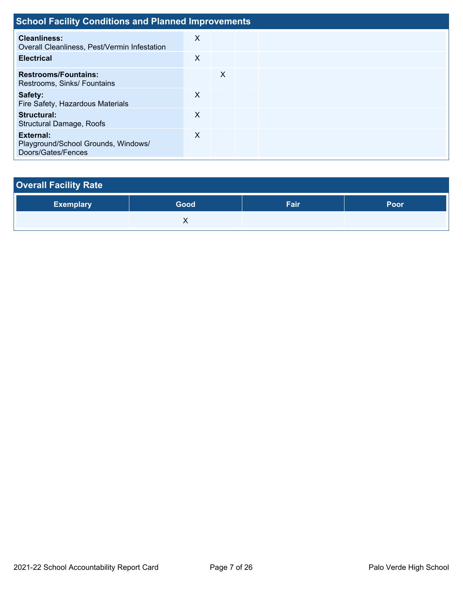| <b>School Facility Conditions and Planned Improvements</b>             |   |   |  |  |  |  |  |  |  |  |
|------------------------------------------------------------------------|---|---|--|--|--|--|--|--|--|--|
| <b>Cleanliness:</b><br>Overall Cleanliness, Pest/Vermin Infestation    | X |   |  |  |  |  |  |  |  |  |
| <b>Electrical</b>                                                      | X |   |  |  |  |  |  |  |  |  |
| <b>Restrooms/Fountains:</b><br>Restrooms, Sinks/ Fountains             |   | X |  |  |  |  |  |  |  |  |
| Safety:<br>Fire Safety, Hazardous Materials                            | X |   |  |  |  |  |  |  |  |  |
| Structural:<br>Structural Damage, Roofs                                | X |   |  |  |  |  |  |  |  |  |
| External:<br>Playground/School Grounds, Windows/<br>Doors/Gates/Fences | X |   |  |  |  |  |  |  |  |  |

| <b>Overall Facility Rate</b> |      |      |      |
|------------------------------|------|------|------|
| <b>Exemplary</b>             | Good | Fair | Poor |
|                              |      |      |      |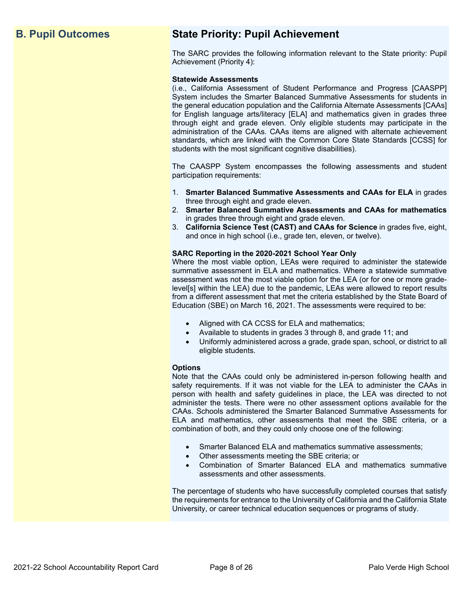## **B. Pupil Outcomes State Priority: Pupil Achievement**

The SARC provides the following information relevant to the State priority: Pupil Achievement (Priority 4):

### **Statewide Assessments**

(i.e., California Assessment of Student Performance and Progress [CAASPP] System includes the Smarter Balanced Summative Assessments for students in the general education population and the California Alternate Assessments [CAAs] for English language arts/literacy [ELA] and mathematics given in grades three through eight and grade eleven. Only eligible students may participate in the administration of the CAAs. CAAs items are aligned with alternate achievement standards, which are linked with the Common Core State Standards [CCSS] for students with the most significant cognitive disabilities).

The CAASPP System encompasses the following assessments and student participation requirements:

- 1. **Smarter Balanced Summative Assessments and CAAs for ELA** in grades three through eight and grade eleven.
- 2. **Smarter Balanced Summative Assessments and CAAs for mathematics** in grades three through eight and grade eleven.
- 3. **California Science Test (CAST) and CAAs for Science** in grades five, eight, and once in high school (i.e., grade ten, eleven, or twelve).

### **SARC Reporting in the 2020-2021 School Year Only**

Where the most viable option, LEAs were required to administer the statewide summative assessment in ELA and mathematics. Where a statewide summative assessment was not the most viable option for the LEA (or for one or more gradelevel[s] within the LEA) due to the pandemic, LEAs were allowed to report results from a different assessment that met the criteria established by the State Board of Education (SBE) on March 16, 2021. The assessments were required to be:

- Aligned with CA CCSS for ELA and mathematics;
- Available to students in grades 3 through 8, and grade 11; and
- Uniformly administered across a grade, grade span, school, or district to all eligible students.

### **Options**

Note that the CAAs could only be administered in-person following health and safety requirements. If it was not viable for the LEA to administer the CAAs in person with health and safety guidelines in place, the LEA was directed to not administer the tests. There were no other assessment options available for the CAAs. Schools administered the Smarter Balanced Summative Assessments for ELA and mathematics, other assessments that meet the SBE criteria, or a combination of both, and they could only choose one of the following:

- Smarter Balanced ELA and mathematics summative assessments;
- Other assessments meeting the SBE criteria; or
- Combination of Smarter Balanced ELA and mathematics summative assessments and other assessments.

The percentage of students who have successfully completed courses that satisfy the requirements for entrance to the University of California and the California State University, or career technical education sequences or programs of study.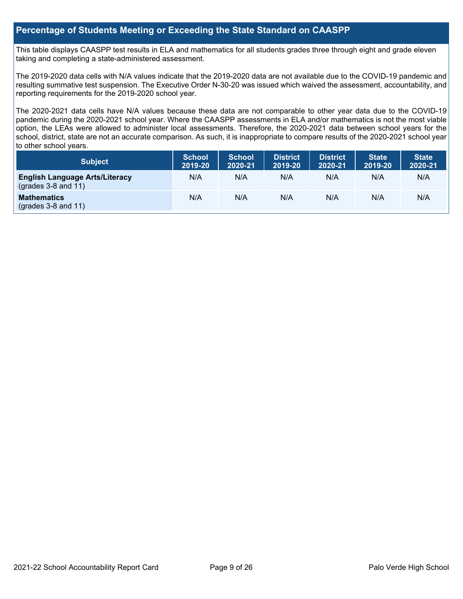### **Percentage of Students Meeting or Exceeding the State Standard on CAASPP**

This table displays CAASPP test results in ELA and mathematics for all students grades three through eight and grade eleven taking and completing a state-administered assessment.

The 2019-2020 data cells with N/A values indicate that the 2019-2020 data are not available due to the COVID-19 pandemic and resulting summative test suspension. The Executive Order N-30-20 was issued which waived the assessment, accountability, and reporting requirements for the 2019-2020 school year.

The 2020-2021 data cells have N/A values because these data are not comparable to other year data due to the COVID-19 pandemic during the 2020-2021 school year. Where the CAASPP assessments in ELA and/or mathematics is not the most viable option, the LEAs were allowed to administer local assessments. Therefore, the 2020-2021 data between school years for the school, district, state are not an accurate comparison. As such, it is inappropriate to compare results of the 2020-2021 school year to other school years.

| Subject                                                              | <b>School</b><br>2019-20 | <b>School</b><br>2020-21 | <b>District</b><br>2019-20 | <b>District</b><br>2020-21 | <b>State</b><br>2019-20 | <b>State</b><br>2020-21 |
|----------------------------------------------------------------------|--------------------------|--------------------------|----------------------------|----------------------------|-------------------------|-------------------------|
| <b>English Language Arts/Literacy</b><br>$\left($ grades 3-8 and 11) | N/A                      | N/A                      | N/A                        | N/A                        | N/A                     | N/A                     |
| <b>Mathematics</b><br>$(grades 3-8 and 11)$                          | N/A                      | N/A                      | N/A                        | N/A                        | N/A                     | N/A                     |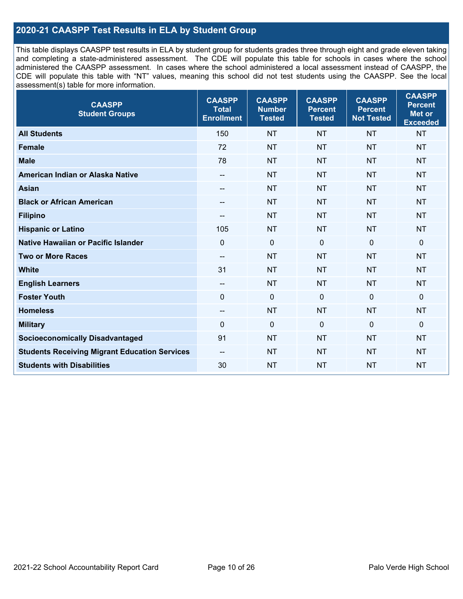### **2020-21 CAASPP Test Results in ELA by Student Group**

This table displays CAASPP test results in ELA by student group for students grades three through eight and grade eleven taking and completing a state-administered assessment. The CDE will populate this table for schools in cases where the school administered the CAASPP assessment. In cases where the school administered a local assessment instead of CAASPP, the CDE will populate this table with "NT" values, meaning this school did not test students using the CAASPP. See the local assessment(s) table for more information.

| <b>CAASPP</b><br><b>Student Groups</b>               | <b>CAASPP</b><br><b>Total</b><br><b>Enrollment</b> | <b>CAASPP</b><br><b>Number</b><br><b>Tested</b> | <b>CAASPP</b><br><b>Percent</b><br><b>Tested</b> | <b>CAASPP</b><br><b>Percent</b><br><b>Not Tested</b> | <b>CAASPP</b><br><b>Percent</b><br>Met or<br><b>Exceeded</b> |
|------------------------------------------------------|----------------------------------------------------|-------------------------------------------------|--------------------------------------------------|------------------------------------------------------|--------------------------------------------------------------|
| <b>All Students</b>                                  | 150                                                | <b>NT</b>                                       | <b>NT</b>                                        | <b>NT</b>                                            | <b>NT</b>                                                    |
| <b>Female</b>                                        | 72                                                 | <b>NT</b>                                       | <b>NT</b>                                        | <b>NT</b>                                            | <b>NT</b>                                                    |
| <b>Male</b>                                          | 78                                                 | <b>NT</b>                                       | <b>NT</b>                                        | <b>NT</b>                                            | <b>NT</b>                                                    |
| American Indian or Alaska Native                     | $\overline{\phantom{a}}$                           | <b>NT</b>                                       | <b>NT</b>                                        | <b>NT</b>                                            | <b>NT</b>                                                    |
| <b>Asian</b>                                         |                                                    | <b>NT</b>                                       | <b>NT</b>                                        | <b>NT</b>                                            | <b>NT</b>                                                    |
| <b>Black or African American</b>                     | $\overline{\phantom{a}}$                           | <b>NT</b>                                       | <b>NT</b>                                        | <b>NT</b>                                            | <b>NT</b>                                                    |
| <b>Filipino</b>                                      |                                                    | <b>NT</b>                                       | <b>NT</b>                                        | <b>NT</b>                                            | <b>NT</b>                                                    |
| <b>Hispanic or Latino</b>                            | 105                                                | <b>NT</b>                                       | <b>NT</b>                                        | <b>NT</b>                                            | <b>NT</b>                                                    |
| <b>Native Hawaiian or Pacific Islander</b>           | $\overline{0}$                                     | $\mathbf 0$                                     | $\mathbf 0$                                      | $\mathbf 0$                                          | $\mathbf 0$                                                  |
| <b>Two or More Races</b>                             | $\overline{\phantom{a}}$                           | <b>NT</b>                                       | <b>NT</b>                                        | <b>NT</b>                                            | <b>NT</b>                                                    |
| <b>White</b>                                         | 31                                                 | <b>NT</b>                                       | <b>NT</b>                                        | <b>NT</b>                                            | <b>NT</b>                                                    |
| <b>English Learners</b>                              | $\hspace{0.05cm}$                                  | <b>NT</b>                                       | <b>NT</b>                                        | <b>NT</b>                                            | <b>NT</b>                                                    |
| <b>Foster Youth</b>                                  | $\mathbf 0$                                        | $\mathbf 0$                                     | $\mathbf 0$                                      | $\mathbf 0$                                          | 0                                                            |
| <b>Homeless</b>                                      | $\overline{\phantom{a}}$                           | <b>NT</b>                                       | <b>NT</b>                                        | <b>NT</b>                                            | <b>NT</b>                                                    |
| <b>Military</b>                                      | $\mathbf 0$                                        | $\mathbf 0$                                     | $\mathbf 0$                                      | $\mathbf 0$                                          | 0                                                            |
| <b>Socioeconomically Disadvantaged</b>               | 91                                                 | <b>NT</b>                                       | <b>NT</b>                                        | <b>NT</b>                                            | <b>NT</b>                                                    |
| <b>Students Receiving Migrant Education Services</b> | $\overline{\phantom{a}}$                           | <b>NT</b>                                       | <b>NT</b>                                        | <b>NT</b>                                            | <b>NT</b>                                                    |
| <b>Students with Disabilities</b>                    | 30                                                 | <b>NT</b>                                       | <b>NT</b>                                        | <b>NT</b>                                            | <b>NT</b>                                                    |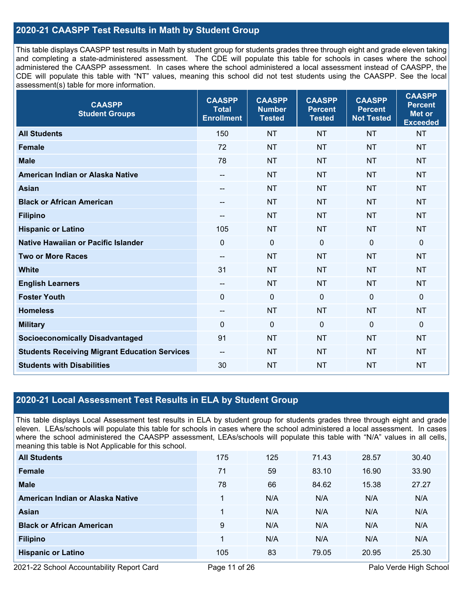### **2020-21 CAASPP Test Results in Math by Student Group**

This table displays CAASPP test results in Math by student group for students grades three through eight and grade eleven taking and completing a state-administered assessment. The CDE will populate this table for schools in cases where the school administered the CAASPP assessment. In cases where the school administered a local assessment instead of CAASPP, the CDE will populate this table with "NT" values, meaning this school did not test students using the CAASPP. See the local assessment(s) table for more information.

| <b>CAASPP</b><br><b>Student Groups</b>               | <b>CAASPP</b><br><b>Total</b><br><b>Enrollment</b> | <b>CAASPP</b><br><b>Number</b><br><b>Tested</b> | <b>CAASPP</b><br><b>Percent</b><br><b>Tested</b> | <b>CAASPP</b><br><b>Percent</b><br><b>Not Tested</b> | <b>CAASPP</b><br><b>Percent</b><br><b>Met or</b><br><b>Exceeded</b> |
|------------------------------------------------------|----------------------------------------------------|-------------------------------------------------|--------------------------------------------------|------------------------------------------------------|---------------------------------------------------------------------|
| <b>All Students</b>                                  | 150                                                | <b>NT</b>                                       | <b>NT</b>                                        | <b>NT</b>                                            | <b>NT</b>                                                           |
| <b>Female</b>                                        | 72                                                 | <b>NT</b>                                       | <b>NT</b>                                        | <b>NT</b>                                            | <b>NT</b>                                                           |
| <b>Male</b>                                          | 78                                                 | <b>NT</b>                                       | <b>NT</b>                                        | <b>NT</b>                                            | <b>NT</b>                                                           |
| American Indian or Alaska Native                     | $-\!$ $\!-$                                        | <b>NT</b>                                       | <b>NT</b>                                        | <b>NT</b>                                            | <b>NT</b>                                                           |
| <b>Asian</b>                                         | $-$                                                | <b>NT</b>                                       | <b>NT</b>                                        | <b>NT</b>                                            | <b>NT</b>                                                           |
| <b>Black or African American</b>                     | $\hspace{0.05cm}$                                  | <b>NT</b>                                       | <b>NT</b>                                        | <b>NT</b>                                            | <b>NT</b>                                                           |
| <b>Filipino</b>                                      | --                                                 | <b>NT</b>                                       | <b>NT</b>                                        | <b>NT</b>                                            | <b>NT</b>                                                           |
| <b>Hispanic or Latino</b>                            | 105                                                | <b>NT</b>                                       | <b>NT</b>                                        | <b>NT</b>                                            | <b>NT</b>                                                           |
| Native Hawaiian or Pacific Islander                  | $\mathbf 0$                                        | $\mathbf 0$                                     | $\mathbf 0$                                      | $\overline{0}$                                       | $\mathbf 0$                                                         |
| <b>Two or More Races</b>                             | $\hspace{0.05cm}$                                  | <b>NT</b>                                       | <b>NT</b>                                        | <b>NT</b>                                            | <b>NT</b>                                                           |
| <b>White</b>                                         | 31                                                 | <b>NT</b>                                       | <b>NT</b>                                        | <b>NT</b>                                            | <b>NT</b>                                                           |
| <b>English Learners</b>                              | $\overline{\phantom{a}}$                           | <b>NT</b>                                       | <b>NT</b>                                        | <b>NT</b>                                            | <b>NT</b>                                                           |
| <b>Foster Youth</b>                                  | $\mathbf{0}$                                       | $\mathbf 0$                                     | $\Omega$                                         | $\Omega$                                             | $\mathbf 0$                                                         |
| <b>Homeless</b>                                      | $\overline{\phantom{a}}$                           | <b>NT</b>                                       | <b>NT</b>                                        | <b>NT</b>                                            | <b>NT</b>                                                           |
| <b>Military</b>                                      | $\mathbf 0$                                        | $\mathbf 0$                                     | $\mathbf 0$                                      | $\mathbf 0$                                          | $\mathbf 0$                                                         |
| <b>Socioeconomically Disadvantaged</b>               | 91                                                 | <b>NT</b>                                       | <b>NT</b>                                        | <b>NT</b>                                            | <b>NT</b>                                                           |
| <b>Students Receiving Migrant Education Services</b> | $\hspace{0.05cm}$                                  | <b>NT</b>                                       | <b>NT</b>                                        | <b>NT</b>                                            | <b>NT</b>                                                           |
| <b>Students with Disabilities</b>                    | 30                                                 | <b>NT</b>                                       | <b>NT</b>                                        | <b>NT</b>                                            | <b>NT</b>                                                           |

### **2020-21 Local Assessment Test Results in ELA by Student Group**

This table displays Local Assessment test results in ELA by student group for students grades three through eight and grade eleven. LEAs/schools will populate this table for schools in cases where the school administered a local assessment. In cases where the school administered the CAASPP assessment, LEAs/schools will populate this table with "N/A" values in all cells, meaning this table is Not Applicable for this school.

| <b>All Students</b>              | 175 | 125 | 71.43 | 28.57 | 30.40 |
|----------------------------------|-----|-----|-------|-------|-------|
| Female                           | 71  | 59  | 83.10 | 16.90 | 33.90 |
| <b>Male</b>                      | 78  | 66  | 84.62 | 15.38 | 27.27 |
| American Indian or Alaska Native |     | N/A | N/A   | N/A   | N/A   |
| Asian                            |     | N/A | N/A   | N/A   | N/A   |
| <b>Black or African American</b> | 9   | N/A | N/A   | N/A   | N/A   |
| <b>Filipino</b>                  |     | N/A | N/A   | N/A   | N/A   |
| <b>Hispanic or Latino</b>        | 105 | 83  | 79.05 | 20.95 | 25.30 |

2021-22 School Accountability Report Card Page 11 of 26 Page 11 of 20 Palo Verde High School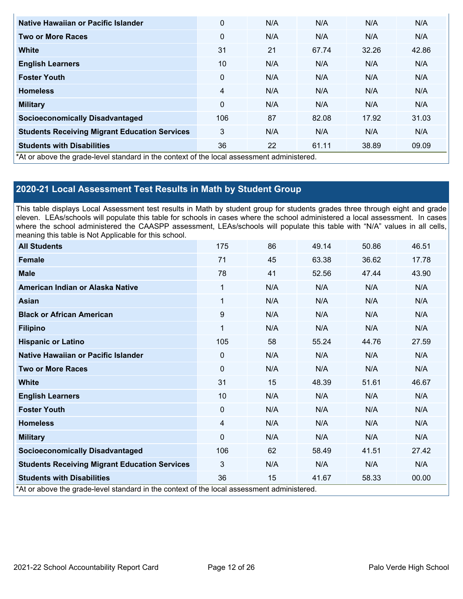| Native Hawaiian or Pacific Islander                                                        | 0            | N/A | N/A   | N/A   | N/A   |
|--------------------------------------------------------------------------------------------|--------------|-----|-------|-------|-------|
| <b>Two or More Races</b>                                                                   | 0            | N/A | N/A   | N/A   | N/A   |
| <b>White</b>                                                                               | 31           | 21  | 67.74 | 32.26 | 42.86 |
| <b>English Learners</b>                                                                    | 10           | N/A | N/A   | N/A   | N/A   |
| <b>Foster Youth</b>                                                                        | $\mathbf{0}$ | N/A | N/A   | N/A   | N/A   |
| <b>Homeless</b>                                                                            | 4            | N/A | N/A   | N/A   | N/A   |
| <b>Military</b>                                                                            | $\mathbf{0}$ | N/A | N/A   | N/A   | N/A   |
| <b>Socioeconomically Disadvantaged</b>                                                     | 106          | 87  | 82.08 | 17.92 | 31.03 |
| <b>Students Receiving Migrant Education Services</b>                                       | 3            | N/A | N/A   | N/A   | N/A   |
| <b>Students with Disabilities</b>                                                          | 36           | 22  | 61.11 | 38.89 | 09.09 |
| *At or above the grade-level standard in the context of the local assessment administered. |              |     |       |       |       |

### **2020-21 Local Assessment Test Results in Math by Student Group**

This table displays Local Assessment test results in Math by student group for students grades three through eight and grade eleven. LEAs/schools will populate this table for schools in cases where the school administered a local assessment. In cases where the school administered the CAASPP assessment, LEAs/schools will populate this table with "N/A" values in all cells, meaning this table is Not Applicable for this school.

| <b>All Students</b>                                                                        | 175            | 86  | 49.14 | 50.86 | 46.51 |
|--------------------------------------------------------------------------------------------|----------------|-----|-------|-------|-------|
| <b>Female</b>                                                                              | 71             | 45  | 63.38 | 36.62 | 17.78 |
| <b>Male</b>                                                                                | 78             | 41  | 52.56 | 47.44 | 43.90 |
| American Indian or Alaska Native                                                           | 1              | N/A | N/A   | N/A   | N/A   |
| <b>Asian</b>                                                                               | 1              | N/A | N/A   | N/A   | N/A   |
| <b>Black or African American</b>                                                           | 9              | N/A | N/A   | N/A   | N/A   |
| <b>Filipino</b>                                                                            | 1              | N/A | N/A   | N/A   | N/A   |
| <b>Hispanic or Latino</b>                                                                  | 105            | 58  | 55.24 | 44.76 | 27.59 |
| Native Hawaiian or Pacific Islander                                                        | $\mathbf{0}$   | N/A | N/A   | N/A   | N/A   |
| <b>Two or More Races</b>                                                                   | $\mathbf{0}$   | N/A | N/A   | N/A   | N/A   |
| <b>White</b>                                                                               | 31             | 15  | 48.39 | 51.61 | 46.67 |
| <b>English Learners</b>                                                                    | 10             | N/A | N/A   | N/A   | N/A   |
| <b>Foster Youth</b>                                                                        | $\mathbf{0}$   | N/A | N/A   | N/A   | N/A   |
| <b>Homeless</b>                                                                            | $\overline{4}$ | N/A | N/A   | N/A   | N/A   |
| <b>Military</b>                                                                            | $\mathbf{0}$   | N/A | N/A   | N/A   | N/A   |
| <b>Socioeconomically Disadvantaged</b>                                                     | 106            | 62  | 58.49 | 41.51 | 27.42 |
| <b>Students Receiving Migrant Education Services</b>                                       | 3              | N/A | N/A   | N/A   | N/A   |
| <b>Students with Disabilities</b>                                                          | 36             | 15  | 41.67 | 58.33 | 00.00 |
| *At or above the grade-level standard in the context of the local assessment administered. |                |     |       |       |       |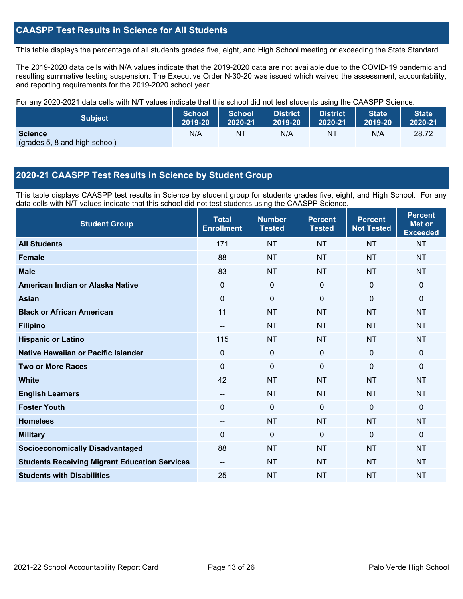### **CAASPP Test Results in Science for All Students**

This table displays the percentage of all students grades five, eight, and High School meeting or exceeding the State Standard.

The 2019-2020 data cells with N/A values indicate that the 2019-2020 data are not available due to the COVID-19 pandemic and resulting summative testing suspension. The Executive Order N-30-20 was issued which waived the assessment, accountability, and reporting requirements for the 2019-2020 school year.

For any 2020-2021 data cells with N/T values indicate that this school did not test students using the CAASPP Science.

| <b>Subject</b>                                  | <b>School</b> | <b>School</b> | <b>District</b> | <b>District</b> | State   | <b>State</b> |
|-------------------------------------------------|---------------|---------------|-----------------|-----------------|---------|--------------|
|                                                 | 2019-20       | 2020-21       | 2019-20         | 2020-21         | 2019-20 | 2020-21      |
| <b>Science</b><br>(grades 5, 8 and high school) | N/A           | ΝT            | N/A             | NT              | N/A     | 28.72        |

### **2020-21 CAASPP Test Results in Science by Student Group**

This table displays CAASPP test results in Science by student group for students grades five, eight, and High School. For any data cells with N/T values indicate that this school did not test students using the CAASPP Science.

| <b>Student Group</b>                                 | <b>Total</b><br><b>Enrollment</b> | <b>Number</b><br><b>Tested</b> | <b>Percent</b><br><b>Tested</b> | <b>Percent</b><br><b>Not Tested</b> | <b>Percent</b><br><b>Met or</b><br><b>Exceeded</b> |
|------------------------------------------------------|-----------------------------------|--------------------------------|---------------------------------|-------------------------------------|----------------------------------------------------|
| <b>All Students</b>                                  | 171                               | <b>NT</b>                      | <b>NT</b>                       | <b>NT</b>                           | <b>NT</b>                                          |
| <b>Female</b>                                        | 88                                | <b>NT</b>                      | <b>NT</b>                       | <b>NT</b>                           | <b>NT</b>                                          |
| <b>Male</b>                                          | 83                                | <b>NT</b>                      | <b>NT</b>                       | <b>NT</b>                           | <b>NT</b>                                          |
| American Indian or Alaska Native                     | 0                                 | $\mathbf 0$                    | $\mathbf 0$                     | $\mathbf 0$                         | $\mathbf 0$                                        |
| <b>Asian</b>                                         | $\mathbf 0$                       | $\mathbf 0$                    | $\mathbf 0$                     | $\mathbf 0$                         | $\mathbf 0$                                        |
| <b>Black or African American</b>                     | 11                                | <b>NT</b>                      | <b>NT</b>                       | <b>NT</b>                           | <b>NT</b>                                          |
| <b>Filipino</b>                                      | $\qquad \qquad -$                 | <b>NT</b>                      | <b>NT</b>                       | <b>NT</b>                           | <b>NT</b>                                          |
| <b>Hispanic or Latino</b>                            | 115                               | <b>NT</b>                      | <b>NT</b>                       | <b>NT</b>                           | <b>NT</b>                                          |
| Native Hawaiian or Pacific Islander                  | $\mathbf 0$                       | $\mathbf 0$                    | $\mathbf 0$                     | $\mathbf 0$                         | $\mathbf 0$                                        |
| <b>Two or More Races</b>                             | $\mathbf 0$                       | $\mathbf 0$                    | $\mathbf 0$                     | 0                                   | $\mathbf{0}$                                       |
| <b>White</b>                                         | 42                                | <b>NT</b>                      | <b>NT</b>                       | <b>NT</b>                           | <b>NT</b>                                          |
| <b>English Learners</b>                              | $\qquad \qquad \qquad -$          | <b>NT</b>                      | <b>NT</b>                       | <b>NT</b>                           | <b>NT</b>                                          |
| <b>Foster Youth</b>                                  | $\mathbf 0$                       | $\mathbf 0$                    | $\mathbf 0$                     | $\mathbf 0$                         | $\mathbf 0$                                        |
| <b>Homeless</b>                                      | $-$                               | <b>NT</b>                      | <b>NT</b>                       | <b>NT</b>                           | <b>NT</b>                                          |
| <b>Military</b>                                      | $\Omega$                          | $\Omega$                       | $\mathbf{0}$                    | $\mathbf 0$                         | $\mathbf{0}$                                       |
| <b>Socioeconomically Disadvantaged</b>               | 88                                | <b>NT</b>                      | <b>NT</b>                       | <b>NT</b>                           | <b>NT</b>                                          |
| <b>Students Receiving Migrant Education Services</b> |                                   | <b>NT</b>                      | <b>NT</b>                       | <b>NT</b>                           | <b>NT</b>                                          |
| <b>Students with Disabilities</b>                    | 25                                | <b>NT</b>                      | <b>NT</b>                       | <b>NT</b>                           | <b>NT</b>                                          |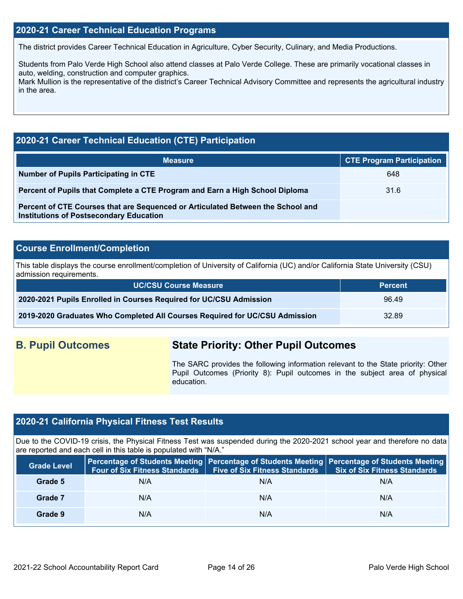### **2020-21 Career Technical Education Programs**

The district provides Career Technical Education in Agriculture, Cyber Security, Culinary, and Media Productions.

Students from Palo Verde High School also attend classes at Palo Verde College. These are primarily vocational classes in auto, welding, construction and computer graphics.

Mark Mullion is the representative of the district's Career Technical Advisory Committee and represents the agricultural industry in the area.

### **2020-21 Career Technical Education (CTE) Participation**

| <b>Measure</b>                                                                                                                    | <b>CTE Program Participation</b> |
|-----------------------------------------------------------------------------------------------------------------------------------|----------------------------------|
| Number of Pupils Participating in CTE                                                                                             | 648                              |
| Percent of Pupils that Complete a CTE Program and Earn a High School Diploma                                                      | 31.6                             |
| Percent of CTE Courses that are Sequenced or Articulated Between the School and<br><b>Institutions of Postsecondary Education</b> |                                  |

### **Course Enrollment/Completion**

This table displays the course enrollment/completion of University of California (UC) and/or California State University (CSU) admission requirements.

| <b>UC/CSU Course Measure</b>                                                | <b>Percent</b> |
|-----------------------------------------------------------------------------|----------------|
| 2020-2021 Pupils Enrolled in Courses Required for UC/CSU Admission          | 96.49          |
| 2019-2020 Graduates Who Completed All Courses Required for UC/CSU Admission | 32.89          |

### **B. Pupil Outcomes State Priority: Other Pupil Outcomes**

The SARC provides the following information relevant to the State priority: Other Pupil Outcomes (Priority 8): Pupil outcomes in the subject area of physical education.

### **2020-21 California Physical Fitness Test Results**

Due to the COVID-19 crisis, the Physical Fitness Test was suspended during the 2020-2021 school year and therefore no data are reported and each cell in this table is populated with "N/A."

| <b>Grade Level</b> |     | Four of Six Fitness Standards   Five of Six Fitness Standards | Percentage of Students Meeting   Percentage of Students Meeting   Percentage of Students Meeting<br><b>Six of Six Fitness Standards</b> |
|--------------------|-----|---------------------------------------------------------------|-----------------------------------------------------------------------------------------------------------------------------------------|
| Grade 5            | N/A | N/A                                                           | N/A                                                                                                                                     |
| Grade 7            | N/A | N/A                                                           | N/A                                                                                                                                     |
| Grade 9            | N/A | N/A                                                           | N/A                                                                                                                                     |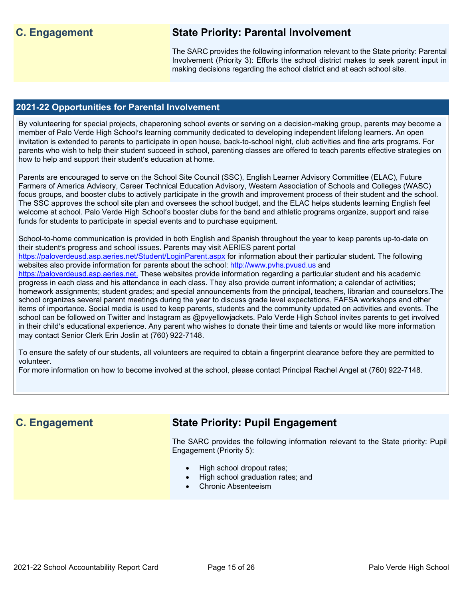## **C. Engagement State Priority: Parental Involvement**

The SARC provides the following information relevant to the State priority: Parental Involvement (Priority 3): Efforts the school district makes to seek parent input in making decisions regarding the school district and at each school site.

### **2021-22 Opportunities for Parental Involvement**

By volunteering for special projects, chaperoning school events or serving on a decision-making group, parents may become a member of Palo Verde High School's learning community dedicated to developing independent lifelong learners. An open invitation is extended to parents to participate in open house, back-to-school night, club activities and fine arts programs. For parents who wish to help their student succeed in school, parenting classes are offered to teach parents effective strategies on how to help and support their student's education at home.

Parents are encouraged to serve on the School Site Council (SSC), English Learner Advisory Committee (ELAC), Future Farmers of America Advisory, Career Technical Education Advisory, Western Association of Schools and Colleges (WASC) focus groups, and booster clubs to actively participate in the growth and improvement process of their student and the school. The SSC approves the school site plan and oversees the school budget, and the ELAC helps students learning English feel welcome at school. Palo Verde High School's booster clubs for the band and athletic programs organize, support and raise funds for students to participate in special events and to purchase equipment.

School-to-home communication is provided in both English and Spanish throughout the year to keep parents up-to-date on their student's progress and school issues. Parents may visit AERIES parent portal

<https://paloverdeusd.asp.aeries.net/Student/LoginParent.aspx>for information about their particular student. The following websites also provide information for parents about the school: [http://www.pvhs.pvusd.us](http://www.pvhs.pvusd.us/) and

[https://paloverdeusd.asp.aeries.net.](https://paloverdeusd.asp.aeries.net./) These websites provide information regarding a particular student and his academic progress in each class and his attendance in each class. They also provide current information; a calendar of activities; homework assignments; student grades; and special announcements from the principal, teachers, librarian and counselors.The school organizes several parent meetings during the year to discuss grade level expectations, FAFSA workshops and other items of importance. Social media is used to keep parents, students and the community updated on activities and events. The school can be followed on Twitter and Instagram as @pvyellowjackets. Palo Verde High School invites parents to get involved in their child's educational experience. Any parent who wishes to donate their time and talents or would like more information may contact Senior Clerk Erin Joslin at (760) 922-7148.

To ensure the safety of our students, all volunteers are required to obtain a fingerprint clearance before they are permitted to volunteer.

For more information on how to become involved at the school, please contact Principal Rachel Angel at (760) 922-7148.

### **C. Engagement State Priority: Pupil Engagement**

The SARC provides the following information relevant to the State priority: Pupil Engagement (Priority 5):

- High school dropout rates;
- High school graduation rates; and
- Chronic Absenteeism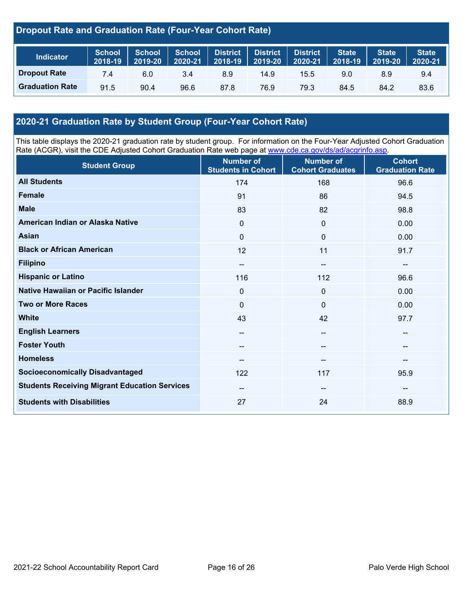### **Dropout Rate and Graduation Rate (Four-Year Cohort Rate)**

| Indicator              | <b>School</b><br>2018-19 | <b>School</b><br>2019-20 | School<br>2020-21 | District<br>$12018 - 19$ | <b>District</b><br>2019-20 | <b>District</b><br>2020-21 | <b>State</b><br>2018-19 | <b>State</b><br>2019-20 | <b>State</b><br>2020-21 |
|------------------------|--------------------------|--------------------------|-------------------|--------------------------|----------------------------|----------------------------|-------------------------|-------------------------|-------------------------|
| <b>Dropout Rate</b>    | 7.4                      | 6.0                      | 3.4               | 8.9                      | 14.9                       | 15.5                       | 9.0                     | 8.9                     | 9.4                     |
| <b>Graduation Rate</b> | 91.5                     | 90.4                     | 96.6              | 87.8                     | 76.9                       | 79.3                       | 84.5                    | 84.2                    | 83.6                    |

### **2020-21 Graduation Rate by Student Group (Four-Year Cohort Rate)**

This table displays the 2020-21 graduation rate by student group. For information on the Four-Year Adjusted Cohort Graduation Rate (ACGR), visit the CDE Adjusted Cohort Graduation Rate web page at [www.cde.ca.gov/ds/ad/acgrinfo.asp.](http://www.cde.ca.gov/ds/ad/acgrinfo.asp)

| <b>Student Group</b>                                 | <b>Number of</b><br><b>Students in Cohort</b> | <b>Number of</b><br><b>Cohort Graduates</b> | <b>Cohort</b><br><b>Graduation Rate</b> |
|------------------------------------------------------|-----------------------------------------------|---------------------------------------------|-----------------------------------------|
| <b>All Students</b>                                  | 174                                           | 168                                         | 96.6                                    |
| <b>Female</b>                                        | 91                                            | 86                                          | 94.5                                    |
| <b>Male</b>                                          | 83                                            | 82                                          | 98.8                                    |
| American Indian or Alaska Native                     | 0                                             | $\mathbf 0$                                 | 0.00                                    |
| <b>Asian</b>                                         | $\Omega$                                      | $\mathbf 0$                                 | 0.00                                    |
| <b>Black or African American</b>                     | 12                                            | 11                                          | 91.7                                    |
| <b>Filipino</b>                                      | $\overline{\phantom{a}}$                      | $\hspace{0.05cm}$                           | $\overline{\phantom{a}}$                |
| <b>Hispanic or Latino</b>                            | 116                                           | 112                                         | 96.6                                    |
| Native Hawaiian or Pacific Islander                  | 0                                             | $\mathbf 0$                                 | 0.00                                    |
| <b>Two or More Races</b>                             | $\mathbf{0}$                                  | $\mathbf 0$                                 | 0.00                                    |
| <b>White</b>                                         | 43                                            | 42                                          | 97.7                                    |
| <b>English Learners</b>                              | --                                            | $\overline{\phantom{a}}$                    | $\hspace{0.05cm}$ – $\hspace{0.05cm}$   |
| <b>Foster Youth</b>                                  | --                                            | $\hspace{0.05cm}$                           | $\hspace{0.05cm}$ – $\hspace{0.05cm}$   |
| <b>Homeless</b>                                      | $\qquad \qquad -$                             | $\overline{\phantom{a}}$                    | --                                      |
| <b>Socioeconomically Disadvantaged</b>               | 122                                           | 117                                         | 95.9                                    |
| <b>Students Receiving Migrant Education Services</b> | --                                            | $\hspace{0.05cm}$                           | $-\!$ $\!-$                             |
| <b>Students with Disabilities</b>                    | 27                                            | 24                                          | 88.9                                    |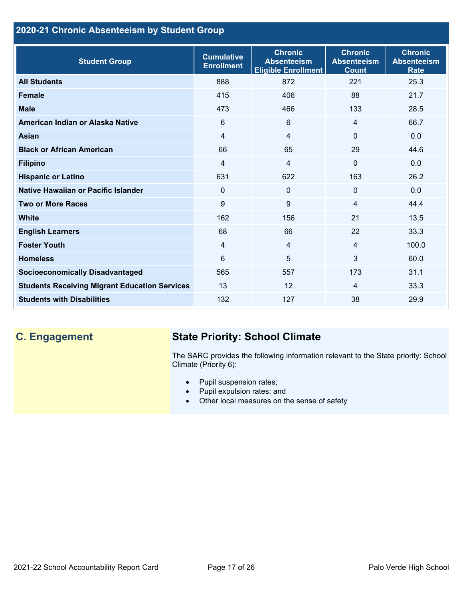### **2020-21 Chronic Absenteeism by Student Group**

| <b>Student Group</b>                                 | <b>Cumulative</b><br><b>Enrollment</b> | <b>Chronic</b><br><b>Absenteeism</b><br><b>Eligible Enrollment</b> | <b>Chronic</b><br><b>Absenteeism</b><br><b>Count</b> | <b>Chronic</b><br><b>Absenteeism</b><br><b>Rate</b> |
|------------------------------------------------------|----------------------------------------|--------------------------------------------------------------------|------------------------------------------------------|-----------------------------------------------------|
| <b>All Students</b>                                  | 888                                    | 872                                                                | 221                                                  | 25.3                                                |
| <b>Female</b>                                        | 415                                    | 406                                                                | 88                                                   | 21.7                                                |
| <b>Male</b>                                          | 473                                    | 466                                                                | 133                                                  | 28.5                                                |
| American Indian or Alaska Native                     | 6                                      | 6                                                                  | $\overline{4}$                                       | 66.7                                                |
| <b>Asian</b>                                         | 4                                      | $\overline{4}$                                                     | $\mathbf{0}$                                         | 0.0                                                 |
| <b>Black or African American</b>                     | 66                                     | 65                                                                 | 29                                                   | 44.6                                                |
| <b>Filipino</b>                                      | 4                                      | $\overline{4}$                                                     | $\mathbf{0}$                                         | 0.0                                                 |
| <b>Hispanic or Latino</b>                            | 631                                    | 622                                                                | 163                                                  | 26.2                                                |
| Native Hawaiian or Pacific Islander                  | 0                                      | $\mathbf 0$                                                        | $\mathbf 0$                                          | 0.0                                                 |
| <b>Two or More Races</b>                             | 9                                      | 9                                                                  | 4                                                    | 44.4                                                |
| <b>White</b>                                         | 162                                    | 156                                                                | 21                                                   | 13.5                                                |
| <b>English Learners</b>                              | 68                                     | 66                                                                 | 22                                                   | 33.3                                                |
| <b>Foster Youth</b>                                  | $\overline{4}$                         | $\overline{4}$                                                     | $\overline{4}$                                       | 100.0                                               |
| <b>Homeless</b>                                      | 6                                      | 5                                                                  | $\mathbf{3}$                                         | 60.0                                                |
| <b>Socioeconomically Disadvantaged</b>               | 565                                    | 557                                                                | 173                                                  | 31.1                                                |
| <b>Students Receiving Migrant Education Services</b> | 13                                     | 12                                                                 | 4                                                    | 33.3                                                |
| <b>Students with Disabilities</b>                    | 132                                    | 127                                                                | 38                                                   | 29.9                                                |

## **C. Engagement State Priority: School Climate**

The SARC provides the following information relevant to the State priority: School Climate (Priority 6):

- Pupil suspension rates;
- Pupil expulsion rates; and
- Other local measures on the sense of safety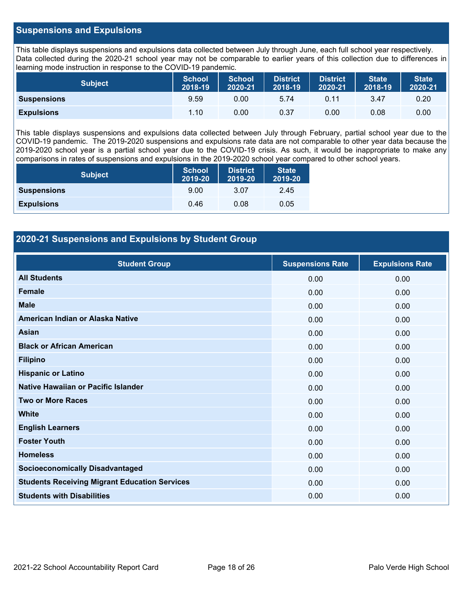### **Suspensions and Expulsions**

This table displays suspensions and expulsions data collected between July through June, each full school year respectively. Data collected during the 2020-21 school year may not be comparable to earlier years of this collection due to differences in learning mode instruction in response to the COVID-19 pandemic.

| <b>Subject</b>     | <b>School</b><br>2018-19 | <b>School</b><br>2020-21 | <b>District</b><br>2018-19 | <b>District</b><br>2020-21 | <b>State</b><br>2018-19 | <b>State</b><br>2020-21 |
|--------------------|--------------------------|--------------------------|----------------------------|----------------------------|-------------------------|-------------------------|
| <b>Suspensions</b> | 9.59                     | 0.00                     | 5.74                       | 0.11                       | 3.47                    | 0.20                    |
| <b>Expulsions</b>  | 1.10                     | 0.00                     | 0.37                       | 0.00                       | 0.08                    | 0.00                    |

This table displays suspensions and expulsions data collected between July through February, partial school year due to the COVID-19 pandemic. The 2019-2020 suspensions and expulsions rate data are not comparable to other year data because the 2019-2020 school year is a partial school year due to the COVID-19 crisis. As such, it would be inappropriate to make any comparisons in rates of suspensions and expulsions in the 2019-2020 school year compared to other school years.

| <b>Subject</b>     | <b>School</b><br>2019-20 | <b>District</b><br>2019-20 | <b>State</b><br>2019-20 |
|--------------------|--------------------------|----------------------------|-------------------------|
| <b>Suspensions</b> | 9.00                     | 3.07                       | 2.45                    |
| <b>Expulsions</b>  | 0.46                     | 0.08                       | 0.05                    |

### **2020-21 Suspensions and Expulsions by Student Group**

| <b>Student Group</b>                                 | <b>Suspensions Rate</b> | <b>Expulsions Rate</b> |
|------------------------------------------------------|-------------------------|------------------------|
| <b>All Students</b>                                  | 0.00                    | 0.00                   |
| <b>Female</b>                                        | 0.00                    | 0.00                   |
| <b>Male</b>                                          | 0.00                    | 0.00                   |
| American Indian or Alaska Native                     | 0.00                    | 0.00                   |
| <b>Asian</b>                                         | 0.00                    | 0.00                   |
| <b>Black or African American</b>                     | 0.00                    | 0.00                   |
| <b>Filipino</b>                                      | 0.00                    | 0.00                   |
| <b>Hispanic or Latino</b>                            | 0.00                    | 0.00                   |
| Native Hawaiian or Pacific Islander                  | 0.00                    | 0.00                   |
| <b>Two or More Races</b>                             | 0.00                    | 0.00                   |
| <b>White</b>                                         | 0.00                    | 0.00                   |
| <b>English Learners</b>                              | 0.00                    | 0.00                   |
| <b>Foster Youth</b>                                  | 0.00                    | 0.00                   |
| <b>Homeless</b>                                      | 0.00                    | 0.00                   |
| <b>Socioeconomically Disadvantaged</b>               | 0.00                    | 0.00                   |
| <b>Students Receiving Migrant Education Services</b> | 0.00                    | 0.00                   |
| <b>Students with Disabilities</b>                    | 0.00                    | 0.00                   |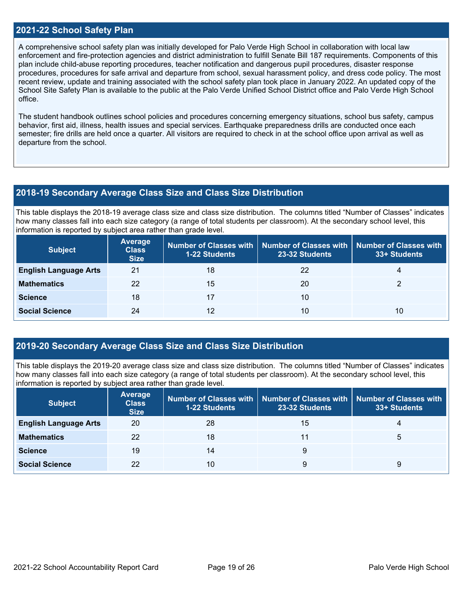### **2021-22 School Safety Plan**

A comprehensive school safety plan was initially developed for Palo Verde High School in collaboration with local law enforcement and fire-protection agencies and district administration to fulfill Senate Bill 187 requirements. Components of this plan include child-abuse reporting procedures, teacher notification and dangerous pupil procedures, disaster response procedures, procedures for safe arrival and departure from school, sexual harassment policy, and dress code policy. The most recent review, update and training associated with the school safety plan took place in January 2022. An updated copy of the School Site Safety Plan is available to the public at the Palo Verde Unified School District office and Palo Verde High School office.

The student handbook outlines school policies and procedures concerning emergency situations, school bus safety, campus behavior, first aid, illness, health issues and special services. Earthquake preparedness drills are conducted once each semester; fire drills are held once a quarter. All visitors are required to check in at the school office upon arrival as well as departure from the school.

### **2018-19 Secondary Average Class Size and Class Size Distribution**

This table displays the 2018-19 average class size and class size distribution. The columns titled "Number of Classes" indicates how many classes fall into each size category (a range of total students per classroom). At the secondary school level, this information is reported by subject area rather than grade level.

| <b>Subject</b>               | Average<br><b>Class</b><br><b>Size</b> | <b>1-22 Students</b> | Number of Classes with   Number of Classes with   Number of Classes with<br>23-32 Students | 33+ Students |
|------------------------------|----------------------------------------|----------------------|--------------------------------------------------------------------------------------------|--------------|
| <b>English Language Arts</b> | 21                                     | 18                   | 22                                                                                         | 4            |
| <b>Mathematics</b>           | 22                                     | 15                   | 20                                                                                         |              |
| <b>Science</b>               | 18                                     | 17                   | 10                                                                                         |              |
| <b>Social Science</b>        | 24                                     | 12                   | 10                                                                                         | 10           |

### **2019-20 Secondary Average Class Size and Class Size Distribution**

This table displays the 2019-20 average class size and class size distribution. The columns titled "Number of Classes" indicates how many classes fall into each size category (a range of total students per classroom). At the secondary school level, this information is reported by subject area rather than grade level.

| <b>Subject</b>               | Average<br><b>Class</b><br><b>Size</b> | <b>1-22 Students</b> | Number of Classes with   Number of Classes with   Number of Classes with<br>23-32 Students | 33+ Students |
|------------------------------|----------------------------------------|----------------------|--------------------------------------------------------------------------------------------|--------------|
| <b>English Language Arts</b> | 20                                     | 28                   | 15                                                                                         | 4            |
| <b>Mathematics</b>           | 22                                     | 18                   | 11                                                                                         | 5            |
| <b>Science</b>               | 19                                     | 14                   | 9                                                                                          |              |
| <b>Social Science</b>        | 22                                     | 10                   | 9                                                                                          | g            |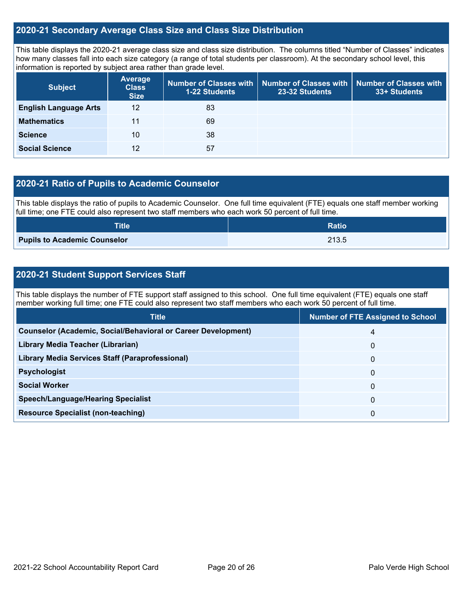### **2020-21 Secondary Average Class Size and Class Size Distribution**

This table displays the 2020-21 average class size and class size distribution. The columns titled "Number of Classes" indicates how many classes fall into each size category (a range of total students per classroom). At the secondary school level, this information is reported by subject area rather than grade level.

| <b>Subject</b>               | <b>Average</b><br><b>Class</b><br><b>Size</b> | <b>1-22 Students</b> | Number of Classes with   Number of Classes with  <br>23-32 Students | <b>Number of Classes with</b><br>33+ Students |
|------------------------------|-----------------------------------------------|----------------------|---------------------------------------------------------------------|-----------------------------------------------|
| <b>English Language Arts</b> | 12                                            | 83                   |                                                                     |                                               |
| <b>Mathematics</b>           | 11                                            | 69                   |                                                                     |                                               |
| <b>Science</b>               | 10                                            | 38                   |                                                                     |                                               |
| <b>Social Science</b>        | 12                                            | 57                   |                                                                     |                                               |

### **2020-21 Ratio of Pupils to Academic Counselor**

This table displays the ratio of pupils to Academic Counselor. One full time equivalent (FTE) equals one staff member working full time; one FTE could also represent two staff members who each work 50 percent of full time.

| <b>Title</b>                        | <b>Ratio</b> |
|-------------------------------------|--------------|
| <b>Pupils to Academic Counselor</b> | 213.5        |

### **2020-21 Student Support Services Staff**

This table displays the number of FTE support staff assigned to this school. One full time equivalent (FTE) equals one staff member working full time; one FTE could also represent two staff members who each work 50 percent of full time.

| <b>Title</b>                                                         | <b>Number of FTE Assigned to School</b> |
|----------------------------------------------------------------------|-----------------------------------------|
| <b>Counselor (Academic, Social/Behavioral or Career Development)</b> | 4                                       |
| Library Media Teacher (Librarian)                                    | 0                                       |
| <b>Library Media Services Staff (Paraprofessional)</b>               | 0                                       |
| <b>Psychologist</b>                                                  | 0                                       |
| <b>Social Worker</b>                                                 | 0                                       |
| <b>Speech/Language/Hearing Specialist</b>                            | 0                                       |
| <b>Resource Specialist (non-teaching)</b>                            | 0                                       |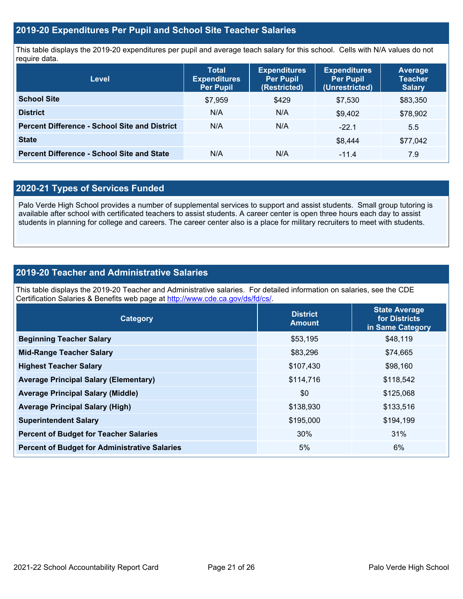### **2019-20 Expenditures Per Pupil and School Site Teacher Salaries**

This table displays the 2019-20 expenditures per pupil and average teach salary for this school. Cells with N/A values do not require data.

| <b>Level</b>                                         | <b>Total</b><br><b>Expenditures</b><br><b>Per Pupil</b> | <b>Expenditures</b><br><b>Per Pupil</b><br>(Restricted) | <b>Expenditures</b><br><b>Per Pupil</b><br>(Unrestricted) | Average<br><b>Teacher</b><br><b>Salary</b> |
|------------------------------------------------------|---------------------------------------------------------|---------------------------------------------------------|-----------------------------------------------------------|--------------------------------------------|
| <b>School Site</b>                                   | \$7,959                                                 | \$429                                                   | \$7,530                                                   | \$83,350                                   |
| <b>District</b>                                      | N/A                                                     | N/A                                                     | \$9.402                                                   | \$78,902                                   |
| <b>Percent Difference - School Site and District</b> | N/A                                                     | N/A                                                     | $-22.1$                                                   | 5.5                                        |
| <b>State</b>                                         |                                                         |                                                         | \$8.444                                                   | \$77,042                                   |
| <b>Percent Difference - School Site and State</b>    | N/A                                                     | N/A                                                     | $-11.4$                                                   | 7.9                                        |

### **2020-21 Types of Services Funded**

Palo Verde High School provides a number of supplemental services to support and assist students. Small group tutoring is available after school with certificated teachers to assist students. A career center is open three hours each day to assist students in planning for college and careers. The career center also is a place for military recruiters to meet with students.

### **2019-20 Teacher and Administrative Salaries**

This table displays the 2019-20 Teacher and Administrative salaries. For detailed information on salaries, see the CDE Certification Salaries & Benefits web page at<http://www.cde.ca.gov/ds/fd/cs/>.

| Category                                             | <b>District</b><br><b>Amount</b> | <b>State Average</b><br>for Districts<br>in Same Category |
|------------------------------------------------------|----------------------------------|-----------------------------------------------------------|
| <b>Beginning Teacher Salary</b>                      | \$53,195                         | \$48,119                                                  |
| <b>Mid-Range Teacher Salary</b>                      | \$83,296                         | \$74,665                                                  |
| <b>Highest Teacher Salary</b>                        | \$107,430                        | \$98,160                                                  |
| <b>Average Principal Salary (Elementary)</b>         | \$114,716                        | \$118,542                                                 |
| <b>Average Principal Salary (Middle)</b>             | \$0                              | \$125,068                                                 |
| <b>Average Principal Salary (High)</b>               | \$138,930                        | \$133,516                                                 |
| <b>Superintendent Salary</b>                         | \$195,000                        | \$194,199                                                 |
| <b>Percent of Budget for Teacher Salaries</b>        | 30%                              | 31%                                                       |
| <b>Percent of Budget for Administrative Salaries</b> | 5%                               | 6%                                                        |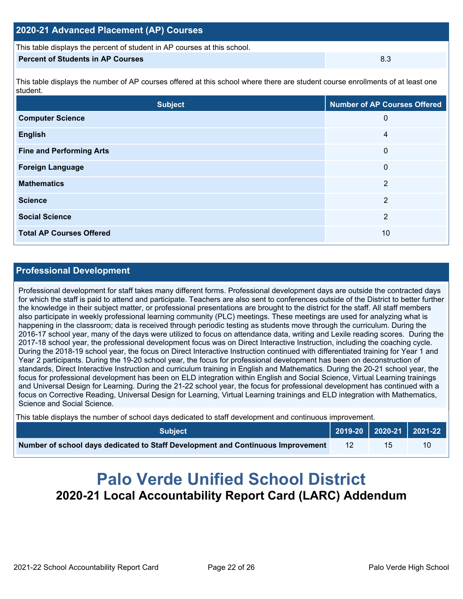### **2020-21 Advanced Placement (AP) Courses**

This table displays the percent of student in AP courses at this school.

### **Percent of Students in AP Courses** 8.3

This table displays the number of AP courses offered at this school where there are student course enrollments of at least one student.

| <b>Subject</b>                  | <b>Number of AP Courses Offered</b> |
|---------------------------------|-------------------------------------|
| <b>Computer Science</b>         | 0                                   |
| <b>English</b>                  | 4                                   |
| <b>Fine and Performing Arts</b> | 0                                   |
| <b>Foreign Language</b>         | 0                                   |
| <b>Mathematics</b>              | $\overline{2}$                      |
| <b>Science</b>                  | $\overline{2}$                      |
| <b>Social Science</b>           | 2                                   |
| <b>Total AP Courses Offered</b> | 10                                  |

### **Professional Development**

Professional development for staff takes many different forms. Professional development days are outside the contracted days for which the staff is paid to attend and participate. Teachers are also sent to conferences outside of the District to better further the knowledge in their subject matter, or professional presentations are brought to the district for the staff. All staff members also participate in weekly professional learning community (PLC) meetings. These meetings are used for analyzing what is happening in the classroom; data is received through periodic testing as students move through the curriculum. During the 2016-17 school year, many of the days were utilized to focus on attendance data, writing and Lexile reading scores. During the 2017-18 school year, the professional development focus was on Direct Interactive Instruction, including the coaching cycle. During the 2018-19 school year, the focus on Direct Interactive Instruction continued with differentiated training for Year 1 and Year 2 participants. During the 19-20 school year, the focus for professional development has been on deconstruction of standards, Direct Interactive Instruction and curriculum training in English and Mathematics. During the 20-21 school year, the focus for professional development has been on ELD integration within English and Social Science, Virtual Learning trainings and Universal Design for Learning. During the 21-22 school year, the focus for professional development has continued with a focus on Corrective Reading, Universal Design for Learning, Virtual Learning trainings and ELD integration with Mathematics, Science and Social Science.

This table displays the number of school days dedicated to staff development and continuous improvement.

| <b>Subject</b>                                                                  | $\vert$ 2019-20 2020-21 2021-22 |    |
|---------------------------------------------------------------------------------|---------------------------------|----|
| Number of school days dedicated to Staff Development and Continuous Improvement |                                 | 10 |

# **Palo Verde Unified School District 2020-21 Local Accountability Report Card (LARC) Addendum**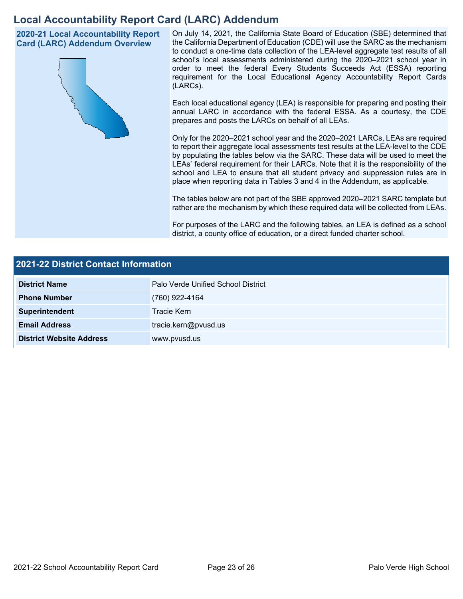## **Local Accountability Report Card (LARC) Addendum**

**2020-21 Local Accountability Report Card (LARC) Addendum Overview**



On July 14, 2021, the California State Board of Education (SBE) determined that the California Department of Education (CDE) will use the SARC as the mechanism to conduct a one-time data collection of the LEA-level aggregate test results of all school's local assessments administered during the 2020–2021 school year in order to meet the federal Every Students Succeeds Act (ESSA) reporting requirement for the Local Educational Agency Accountability Report Cards (LARCs).

Each local educational agency (LEA) is responsible for preparing and posting their annual LARC in accordance with the federal ESSA. As a courtesy, the CDE prepares and posts the LARCs on behalf of all LEAs.

Only for the 2020–2021 school year and the 2020–2021 LARCs, LEAs are required to report their aggregate local assessments test results at the LEA-level to the CDE by populating the tables below via the SARC. These data will be used to meet the LEAs' federal requirement for their LARCs. Note that it is the responsibility of the school and LEA to ensure that all student privacy and suppression rules are in place when reporting data in Tables 3 and 4 in the Addendum, as applicable.

The tables below are not part of the SBE approved 2020–2021 SARC template but rather are the mechanism by which these required data will be collected from LEAs.

For purposes of the LARC and the following tables, an LEA is defined as a school district, a county office of education, or a direct funded charter school.

| 2021-22 District Contact Information |                                    |  |  |  |
|--------------------------------------|------------------------------------|--|--|--|
| <b>District Name</b>                 | Palo Verde Unified School District |  |  |  |
| <b>Phone Number</b>                  | (760) 922-4164                     |  |  |  |
| Superintendent                       | Tracie Kern                        |  |  |  |
| <b>Email Address</b>                 | tracie.kern@pvusd.us               |  |  |  |
| <b>District Website Address</b>      | www.pvusd.us                       |  |  |  |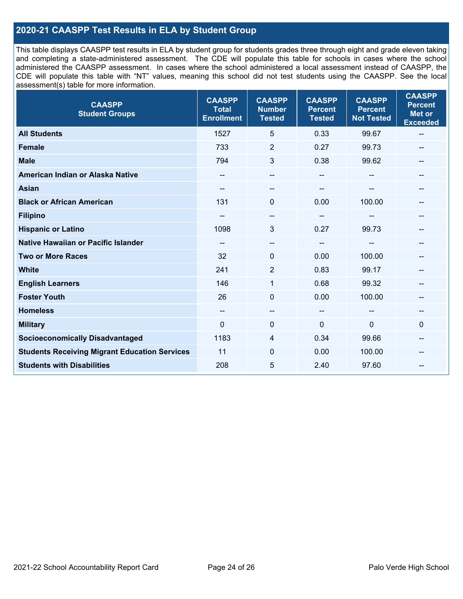### **2020-21 CAASPP Test Results in ELA by Student Group**

This table displays CAASPP test results in ELA by student group for students grades three through eight and grade eleven taking and completing a state-administered assessment. The CDE will populate this table for schools in cases where the school administered the CAASPP assessment. In cases where the school administered a local assessment instead of CAASPP, the CDE will populate this table with "NT" values, meaning this school did not test students using the CAASPP. See the local assessment(s) table for more information.

| <b>CAASPP</b><br><b>Student Groups</b>               | <b>CAASPP</b><br><b>Total</b><br><b>Enrollment</b> | <b>CAASPP</b><br><b>Number</b><br><b>Tested</b> | <b>CAASPP</b><br><b>Percent</b><br><b>Tested</b> | <b>CAASPP</b><br><b>Percent</b><br><b>Not Tested</b> | <b>CAASPP</b><br><b>Percent</b><br><b>Met or</b><br><b>Exceeded</b> |
|------------------------------------------------------|----------------------------------------------------|-------------------------------------------------|--------------------------------------------------|------------------------------------------------------|---------------------------------------------------------------------|
| <b>All Students</b>                                  | 1527                                               | 5                                               | 0.33                                             | 99.67                                                | $\overline{\phantom{m}}$                                            |
| <b>Female</b>                                        | 733                                                | $\overline{2}$                                  | 0.27                                             | 99.73                                                |                                                                     |
| <b>Male</b>                                          | 794                                                | 3                                               | 0.38                                             | 99.62                                                | --                                                                  |
| American Indian or Alaska Native                     | --                                                 | $\overline{\phantom{a}}$                        | $- -$                                            | $\overline{\phantom{a}}$                             | $\qquad \qquad \qquad -$                                            |
| <b>Asian</b>                                         |                                                    |                                                 |                                                  |                                                      |                                                                     |
| <b>Black or African American</b>                     | 131                                                | $\Omega$                                        | 0.00                                             | 100.00                                               |                                                                     |
| <b>Filipino</b>                                      |                                                    | $\qquad \qquad -$                               | $- -$                                            |                                                      |                                                                     |
| <b>Hispanic or Latino</b>                            | 1098                                               | 3                                               | 0.27                                             | 99.73                                                |                                                                     |
| <b>Native Hawaiian or Pacific Islander</b>           | --                                                 | $\overline{\phantom{m}}$                        | $\overline{\phantom{m}}$                         | --                                                   |                                                                     |
| <b>Two or More Races</b>                             | 32                                                 | 0                                               | 0.00                                             | 100.00                                               |                                                                     |
| <b>White</b>                                         | 241                                                | $\overline{2}$                                  | 0.83                                             | 99.17                                                | $\qquad \qquad -$                                                   |
| <b>English Learners</b>                              | 146                                                | $\mathbf{1}$                                    | 0.68                                             | 99.32                                                |                                                                     |
| <b>Foster Youth</b>                                  | 26                                                 | $\mathbf 0$                                     | 0.00                                             | 100.00                                               |                                                                     |
| <b>Homeless</b>                                      | $-\!$ $\!-$                                        | $-\!$ $\!-$                                     | $\overline{\phantom{a}}$                         | $\qquad \qquad \qquad -$                             | --                                                                  |
| <b>Military</b>                                      | $\mathbf 0$                                        | 0                                               | $\mathbf 0$                                      | 0                                                    | $\mathbf 0$                                                         |
| <b>Socioeconomically Disadvantaged</b>               | 1183                                               | $\overline{4}$                                  | 0.34                                             | 99.66                                                | $\hspace{0.05cm}$                                                   |
| <b>Students Receiving Migrant Education Services</b> | 11                                                 | 0                                               | 0.00                                             | 100.00                                               |                                                                     |
| <b>Students with Disabilities</b>                    | 208                                                | 5                                               | 2.40                                             | 97.60                                                |                                                                     |